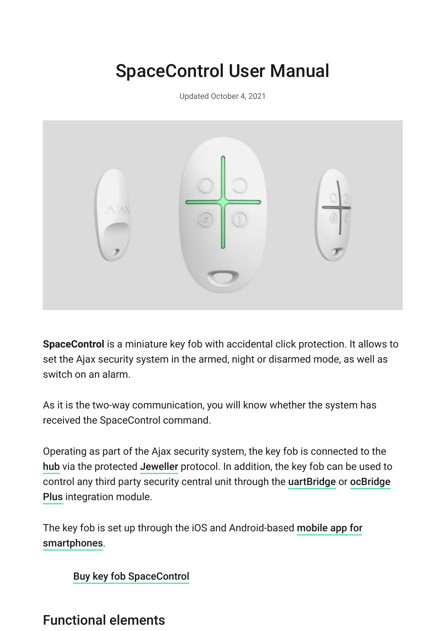# SpaceControl User Manual

Updated October 4, 2021



**SpaceControl** is a miniature key fob with accidental click protection. It allows to set the Ajax security system in the armed, night or disarmed mode, as well as switch on an alarm.

As it is the two-way communication, you will know whether the system has received the SpaceControl command.

Operating as part of the Ajax security system, the key fob is connected to the [hub](https://ajax.systems/products/#block2) via the protected Jeweller protocol. In addition, the key fob can be used to control any third party security central unit through the uartBridge or ocBridge Plus integration module.

[The key fob is set up through the iOS and Android-based](https://ajax.systems/software/)  mobile app for . smartphones

[Buy key fob SpaceControl](https://ajax.systems/products/spacecontrol/)

# Functional elements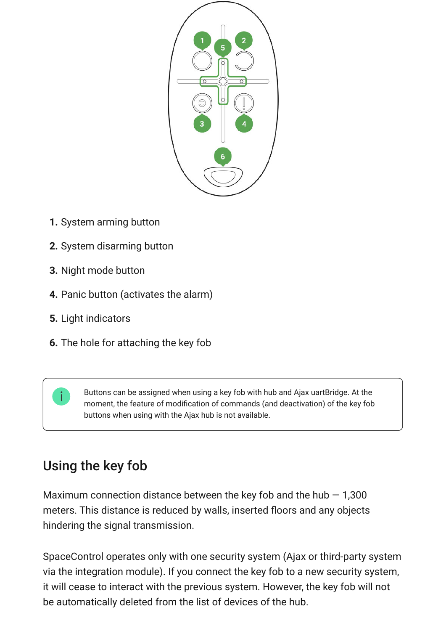

- **1.** System arming button
- **2.** System disarming button
- **3.** Night mode button
- **4.** Panic button (activates the alarm)
- **5.** Light indicators
- **6.** The hole for attaching the key fob

Buttons can be assigned when using a key fob with hub and Ajax uartBridge. At the moment, the feature of modification of commands (and deactivation) of the key fob buttons when using with the Ajax hub is not available.

# Using the key fob

Maximum connection distance between the key fob and the hub  $-1,300$ meters. This distance is reduced by walls, inserted floors and any objects hindering the signal transmission.

SpaceControl operates only with one security system (Ajaх or third-party system via the integration module). If you connect the key fob to a new security system, it will cease to interact with the previous system. However, the key fob will not be automatically deleted from the list of devices of the hub.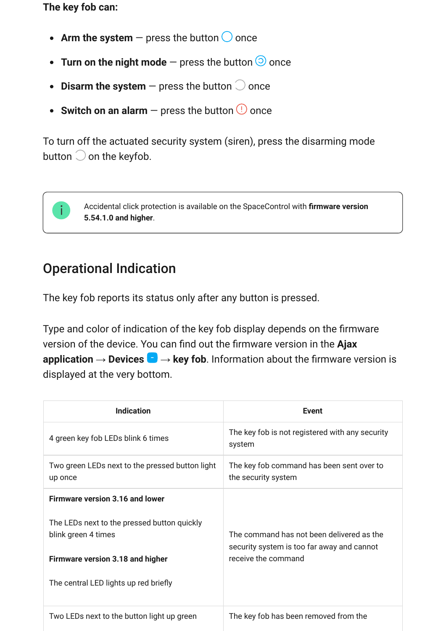**The key fob can:**

- Arm the system  $-$  press the button  $\bigcirc$  once
- Turn on the night mode  $-$  press the button  $\odot$  once
- Disarm the system  $-$  press the button  $\bigcirc$  once
- Switch on an alarm  $-$  press the button  $\overline{\mathbb{O}}$  once

To turn off the actuated security system (siren), press the disarming mode button  $\bigcirc$  on the keyfob.



Accidental click protection is available on the SpaceControl with **firmware version 5.54.1.0 and higher**.

# Operational Indication

The key fob reports its status only after any button is pressed.

Type and color of indication of the key fob display depends on the firmware version of the device. You can find out the firmware version in the **Ajax application** → **Devices**  $\blacksquare$  → **key fob**. Information about the firmware version is displayed at the very bottom.

| <b>Indication</b>                                                                                                                                                                         | <b>Event</b>                                                                                                   |
|-------------------------------------------------------------------------------------------------------------------------------------------------------------------------------------------|----------------------------------------------------------------------------------------------------------------|
| 4 green key fob LEDs blink 6 times                                                                                                                                                        | The key fob is not registered with any security<br>system                                                      |
| Two green LEDs next to the pressed button light<br>up once                                                                                                                                | The key fob command has been sent over to<br>the security system                                               |
| <b>Firmware version 3.16 and lower</b><br>The LEDs next to the pressed button quickly<br>blink green 4 times<br>Firmware version 3.18 and higher<br>The central LED lights up red briefly | The command has not been delivered as the<br>security system is too far away and cannot<br>receive the command |
| Two LEDs next to the button light up green                                                                                                                                                | The key fob has been removed from the                                                                          |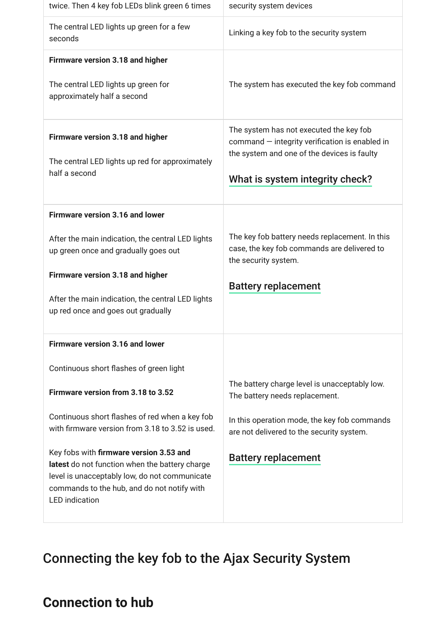| twice. Then 4 key fob LEDs blink green 6 times                                                                                                                                                                     | security system devices                                                                                                                  |
|--------------------------------------------------------------------------------------------------------------------------------------------------------------------------------------------------------------------|------------------------------------------------------------------------------------------------------------------------------------------|
| The central LED lights up green for a few<br>seconds                                                                                                                                                               | Linking a key fob to the security system                                                                                                 |
| Firmware version 3.18 and higher                                                                                                                                                                                   |                                                                                                                                          |
| The central LED lights up green for<br>approximately half a second                                                                                                                                                 | The system has executed the key fob command                                                                                              |
| Firmware version 3.18 and higher<br>The central LED lights up red for approximately<br>half a second                                                                                                               | The system has not executed the key fob<br>command - integrity verification is enabled in<br>the system and one of the devices is faulty |
|                                                                                                                                                                                                                    | What is system integrity check?                                                                                                          |
| <b>Firmware version 3.16 and lower</b>                                                                                                                                                                             |                                                                                                                                          |
| After the main indication, the central LED lights<br>up green once and gradually goes out                                                                                                                          | The key fob battery needs replacement. In this<br>case, the key fob commands are delivered to<br>the security system.                    |
| Firmware version 3.18 and higher                                                                                                                                                                                   |                                                                                                                                          |
| After the main indication, the central LED lights                                                                                                                                                                  | <b>Battery replacement</b>                                                                                                               |
| up red once and goes out gradually                                                                                                                                                                                 |                                                                                                                                          |
| <b>Firmware version 3.16 and lower</b>                                                                                                                                                                             |                                                                                                                                          |
| Continuous short flashes of green light                                                                                                                                                                            |                                                                                                                                          |
| Firmware version from 3.18 to 3.52                                                                                                                                                                                 | The battery charge level is unacceptably low.<br>The battery needs replacement.                                                          |
| Continuous short flashes of red when a key fob<br>with firmware version from 3.18 to 3.52 is used.                                                                                                                 | In this operation mode, the key fob commands<br>are not delivered to the security system.                                                |
| Key fobs with firmware version 3.53 and<br>latest do not function when the battery charge<br>level is unacceptably low, do not communicate<br>commands to the hub, and do not notify with<br><b>LED</b> indication | <b>Battery replacement</b>                                                                                                               |

Connecting the key fob to the Ajax Security System

# **Connection to hub**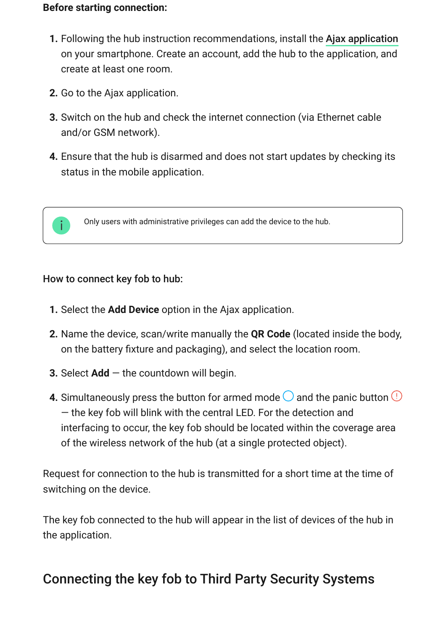#### **Before starting connection:**

- **1.** Following the hub instruction recommendations, install the [Ajax application](https://ajax.systems/software/) on your smartphone. Create an account, add the hub to the application, and create at least one room.
- **2.** Go to the Ajax application.
- **3.** Switch on the hub and check the internet connection (via Ethernet cable and/or GSM network).
- **4.** Ensure that the hub is disarmed and does not start updates by checking its status in the mobile application.

Only users with administrative privileges can add the device to the hub.

#### How to connect key fob to hub:

 $\mathbf{i}$ 

- **1.** Select the **Add Device** option in the Ajax application.
- **2.** Name the device, scan/write manually the **QR Code** (located inside the body, on the battery fixture and packaging), and select the location room.
- **3.** Select **Add** the countdown will begin.
- **4.** Simultaneously press the button for armed mode  $\bigcirc$  and the panic button  $\bigcirc$ — the key fob will blink with the central LED. For the detection and interfacing to occur, the key fob should be located within the coverage area of the wireless network of the hub (at a single protected object).

Request for connection to the hub is transmitted for a short time at the time of switching on the device.

The key fob connected to the hub will appear in the list of devices of the hub in the application.

### Connecting the key fob to Third Party Security Systems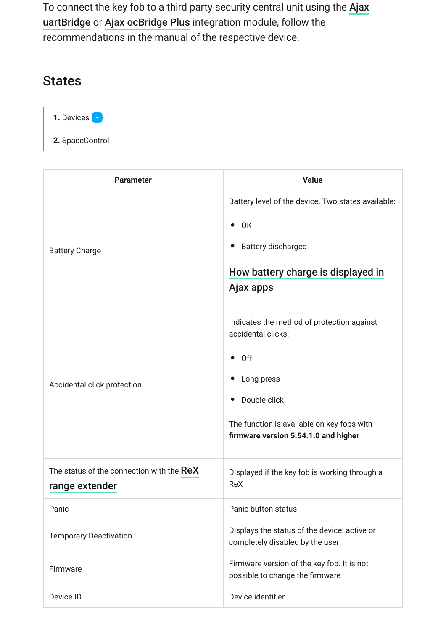[To connect the key fob to a third party security central unit using the](https://ajax.systems/products/uartbridge/)  Ajax uartBridge or Ajax ocBridge Plus integration module, follow the recommendations in the manual of the respective device.

### **States**

- **1.** Devices **-**
- **2.** SpaceControl

| <b>Parameter</b>                                            | <b>Value</b>                                                                                                                                                                                                          |
|-------------------------------------------------------------|-----------------------------------------------------------------------------------------------------------------------------------------------------------------------------------------------------------------------|
| <b>Battery Charge</b>                                       | Battery level of the device. Two states available:<br>$\bullet$ OK<br>Battery discharged<br>How battery charge is displayed in<br>Ajax apps                                                                           |
| Accidental click protection                                 | Indicates the method of protection against<br>accidental clicks:<br>Off<br>$\bullet$<br>Long press<br>Double click<br>$\bullet$<br>The function is available on key fobs with<br>firmware version 5.54.1.0 and higher |
| The status of the connection with the ReX<br>range extender | Displayed if the key fob is working through a<br><b>ReX</b>                                                                                                                                                           |
| Panic                                                       | Panic button status                                                                                                                                                                                                   |
| <b>Temporary Deactivation</b>                               | Displays the status of the device: active or<br>completely disabled by the user                                                                                                                                       |
| Firmware                                                    | Firmware version of the key fob. It is not<br>possible to change the firmware                                                                                                                                         |
| Device ID                                                   | Device identifier                                                                                                                                                                                                     |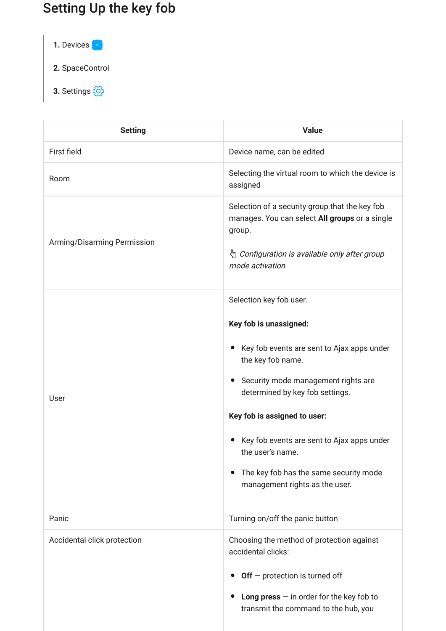# Setting Up the key fob

1. Devices **-**

**2.** SpaceControl

**3.** Settings

| <b>Setting</b>              | <b>Value</b>                                                                                                                                                                                                                                                                                                                                                                     |
|-----------------------------|----------------------------------------------------------------------------------------------------------------------------------------------------------------------------------------------------------------------------------------------------------------------------------------------------------------------------------------------------------------------------------|
| First field                 | Device name, can be edited                                                                                                                                                                                                                                                                                                                                                       |
| Room                        | Selecting the virtual room to which the device is<br>assigned                                                                                                                                                                                                                                                                                                                    |
| Arming/Disarming Permission | Selection of a security group that the key fob<br>manages. You can select All groups or a single<br>group.<br>ै <i>Configuration is available only after group</i><br>mode activation                                                                                                                                                                                            |
| User                        | Selection key fob user.<br>Key fob is unassigned:<br>• Key fob events are sent to Ajax apps under<br>the key fob name.<br>• Security mode management rights are<br>determined by key fob settings.<br>Key fob is assigned to user:<br>Key fob events are sent to Ajax apps under<br>the user's name.<br>The key fob has the same security mode<br>management rights as the user. |
| Panic                       | Turning on/off the panic button                                                                                                                                                                                                                                                                                                                                                  |
| Accidental click protection | Choosing the method of protection against<br>accidental clicks:<br>$Off$ – protection is turned off<br><b>Long press</b> $-$ in order for the key fob to<br>transmit the command to the hub, you                                                                                                                                                                                 |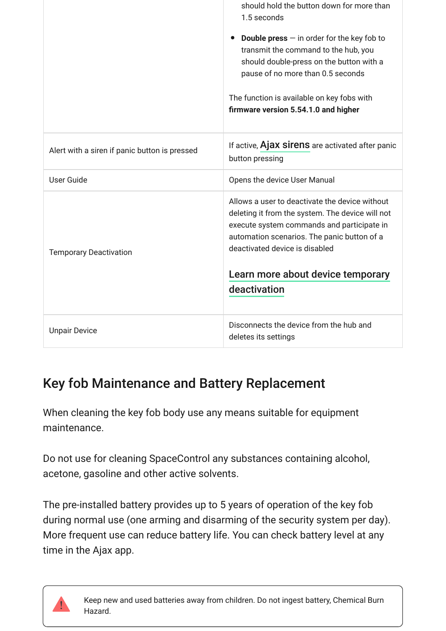|                                               | should hold the button down for more than<br>1.5 seconds                                                                                                                                                                          |
|-----------------------------------------------|-----------------------------------------------------------------------------------------------------------------------------------------------------------------------------------------------------------------------------------|
|                                               | <b>Double press</b> $-$ in order for the key fob to<br>transmit the command to the hub, you<br>should double-press on the button with a<br>pause of no more than 0.5 seconds                                                      |
|                                               | The function is available on key fobs with<br>firmware version 5.54.1.0 and higher                                                                                                                                                |
| Alert with a siren if panic button is pressed | If active, Ajax sirens are activated after panic<br>button pressing                                                                                                                                                               |
| User Guide                                    | Opens the device User Manual                                                                                                                                                                                                      |
| <b>Temporary Deactivation</b>                 | Allows a user to deactivate the device without<br>deleting it from the system. The device will not<br>execute system commands and participate in<br>automation scenarios. The panic button of a<br>deactivated device is disabled |
|                                               | Learn more about device temporary                                                                                                                                                                                                 |
|                                               | deactivation                                                                                                                                                                                                                      |
| <b>Unpair Device</b>                          | Disconnects the device from the hub and<br>deletes its settings                                                                                                                                                                   |

# Key fob Maintenance and Battery Replacement

When cleaning the key fob body use any means suitable for equipment maintenance.

Do not use for cleaning SpaceControl any substances containing alcohol, acetone, gasoline and other active solvents.

The pre-installed battery provides up to 5 years of operation of the key fob during normal use (one arming and disarming of the security system per day). More frequent use can reduce battery life. You can check battery level at any time in the Ajax app.



Keep new and used batteries away from children. Do not ingest battery, Chemical Burn Hazard.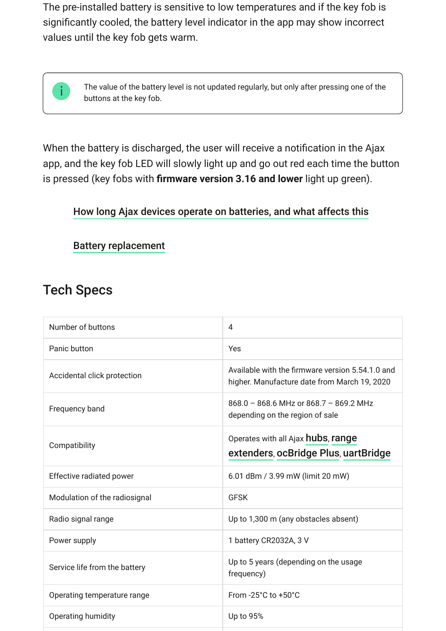The pre-installed battery is sensitive to low temperatures and if the key fob is significantly cooled, the battery level indicator in the app may show incorrect values until the key fob gets warm.



The value of the battery level is not updated regularly, but only after pressing one of the buttons at the key fob.

When the battery is discharged, the user will receive a notification in the Ajax app, and the key fob LED will slowly light up and go out red each time the button is pressed (key fobs with **firmware version 3.16 and lower** light up green).

#### [How long Ajax devices operate on batteries, and what affects this](https://support.ajax.systems/en/how-long-operate-from-batteries/)

[Battery replacement](https://support.ajax.systems/en/how-to-replace-batteries-in-spacecontrol/)

# Tech Specs

| 4                                                                                                |
|--------------------------------------------------------------------------------------------------|
| Yes                                                                                              |
| Available with the firmware version 5.54.1.0 and<br>higher. Manufacture date from March 19, 2020 |
| 868.0 - 868.6 MHz or 868.7 - 869.2 MHz<br>depending on the region of sale                        |
| Operates with all Ajax <b>hubs</b> , range<br>extenders, ocBridge Plus, uartBridge               |
| 6.01 dBm / 3.99 mW (limit 20 mW)                                                                 |
| <b>GFSK</b>                                                                                      |
| Up to 1,300 m (any obstacles absent)                                                             |
| 1 battery CR2032A, 3 V                                                                           |
| Up to 5 years (depending on the usage<br>frequency)                                              |
| From -25°C to +50°C                                                                              |
| Up to 95%                                                                                        |
|                                                                                                  |